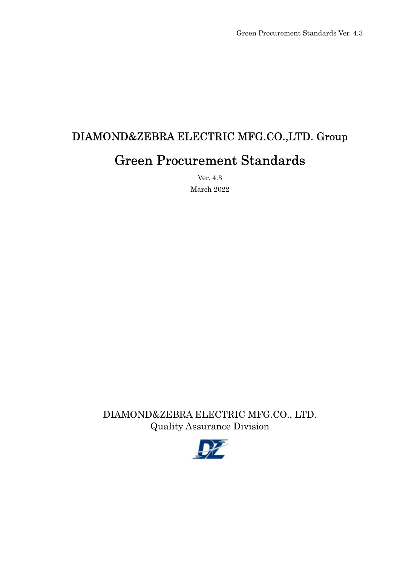# DIAMOND&ZEBRA ELECTRIC MFG.CO.,LTD. Group Green Procurement Standards

Ver. 4.3 March 2022

DIAMOND&ZEBRA ELECTRIC MFG.CO., LTD. Quality Assurance Division

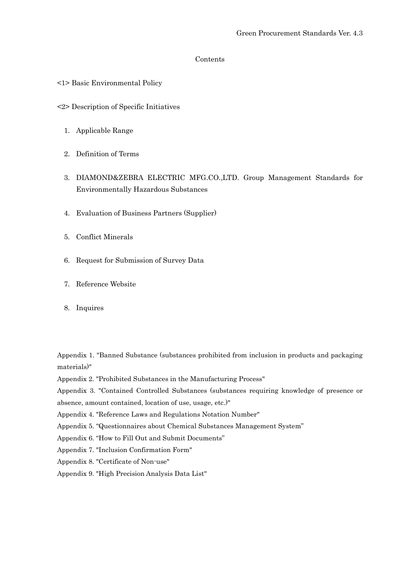#### Contents

- <1> Basic Environmental Policy
- <2> Description of Specific Initiatives
	- 1. Applicable Range
	- 2. Definition of Terms
	- 3. DIAMOND&ZEBRA ELECTRIC MFG.CO.,LTD. Group Management Standards for Environmentally Hazardous Substances
	- 4. Evaluation of Business Partners (Supplier)
	- 5. Conflict Minerals
	- 6. Request for Submission of Survey Data
	- 7. Reference Website
	- 8. Inquires

Appendix 1. "Banned Substance (substances prohibited from inclusion in products and packaging materials)"

Appendix 2. "Prohibited Substances in the Manufacturing Process"

Appendix 3. "Contained Controlled Substances (substances requiring knowledge of presence or

absence, amount contained, location of use, usage, etc.)"

- Appendix 4. "Reference Laws and Regulations Notation Number"
- Appendix 5. "Questionnaires about Chemical Substances Management System"
- Appendix 6. "How to Fill Out and Submit Documents"
- Appendix 7. "Inclusion Confirmation Form"
- Appendix 8. "Certificate of Non-use"
- Appendix 9. "High Precision Analysis Data List"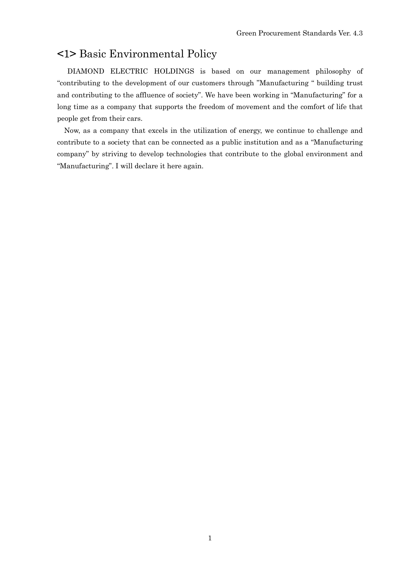## <1> Basic Environmental Policy

DIAMOND ELECTRIC HOLDINGS is based on our management philosophy of "contributing to the development of our customers through "Manufacturing " building trust and contributing to the affluence of society". We have been working in "Manufacturing" for a long time as a company that supports the freedom of movement and the comfort of life that people get from their cars.

 Now, as a company that excels in the utilization of energy, we continue to challenge and contribute to a society that can be connected as a public institution and as a "Manufacturing company" by striving to develop technologies that contribute to the global environment and "Manufacturing". I will declare it here again.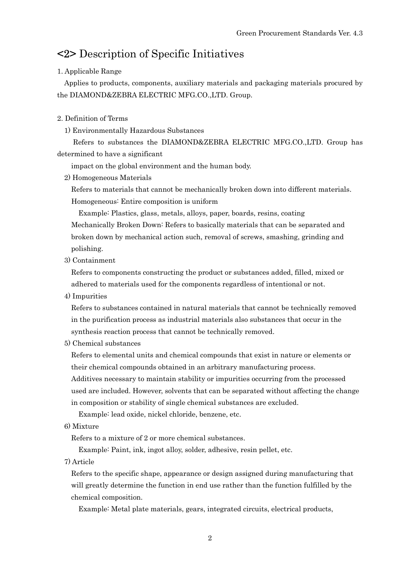# <2> Description of Specific Initiatives

#### 1. Applicable Range

Applies to products, components, auxiliary materials and packaging materials procured by the DIAMOND&ZEBRA ELECTRIC MFG.CO.,LTD. Group.

#### 2. Definition of Terms

1) Environmentally Hazardous Substances

 Refers to substances the DIAMOND&ZEBRA ELECTRIC MFG.CO.,LTD. Group has determined to have a significant

impact on the global environment and the human body.

2) Homogeneous Materials

 Refers to materials that cannot be mechanically broken down into different materials. Homogeneous: Entire composition is uniform

 Example: Plastics, glass, metals, alloys, paper, boards, resins, coating Mechanically Broken Down: Refers to basically materials that can be separated and broken down by mechanical action such, removal of screws, smashing, grinding and polishing.

3) Containment

 Refers to components constructing the product or substances added, filled, mixed or adhered to materials used for the components regardless of intentional or not.

4) Impurities

 Refers to substances contained in natural materials that cannot be technically removed in the purification process as industrial materials also substances that occur in the synthesis reaction process that cannot be technically removed.

5) Chemical substances

 Refers to elemental units and chemical compounds that exist in nature or elements or their chemical compounds obtained in an arbitrary manufacturing process.

 Additives necessary to maintain stability or impurities occurring from the processed used are included. However, solvents that can be separated without affecting the change in composition or stability of single chemical substances are excluded.

Example: lead oxide, nickel chloride, benzene, etc.

6) Mixture

Refers to a mixture of 2 or more chemical substances.

Example: Paint, ink, ingot alloy, solder, adhesive, resin pellet, etc.

7) Article

 Refers to the specific shape, appearance or design assigned during manufacturing that will greatly determine the function in end use rather than the function fulfilled by the chemical composition.

Example: Metal plate materials, gears, integrated circuits, electrical products,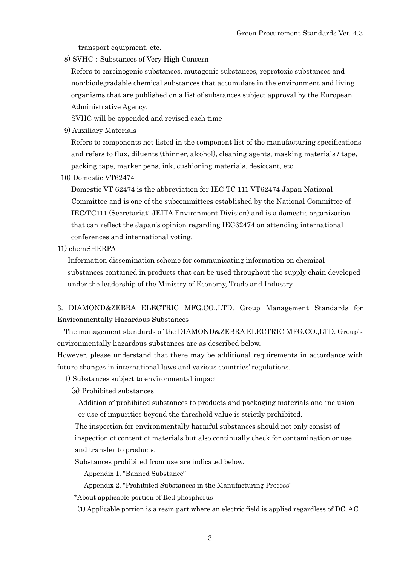transport equipment, etc.

8) SVHC: Substances of Very High Concern

 Refers to carcinogenic substances, mutagenic substances, reprotoxic substances and non-biodegradable chemical substances that accumulate in the environment and living organisms that are published on a list of substances subject approval by the European Administrative Agency.

SVHC will be appended and revised each time

9) Auxiliary Materials

 Refers to components not listed in the component list of the manufacturing specifications and refers to flux, diluents (thinner, alcohol), cleaning agents, masking materials / tape, packing tape, marker pens, ink, cushioning materials, desiccant, etc.

10) Domestic VT62474

 Domestic VT 62474 is the abbreviation for IEC TC 111 VT62474 Japan National Committee and is one of the subcommittees established by the National Committee of IEC/TC111 (Secretariat: JEITA Environment Division) and is a domestic organization that can reflect the Japan's opinion regarding IEC62474 on attending international conferences and international voting.

11) chemSHERPA

 Information dissemination scheme for communicating information on chemical substances contained in products that can be used throughout the supply chain developed under the leadership of the Ministry of Economy, Trade and Industry.

3. DIAMOND&ZEBRA ELECTRIC MFG.CO.,LTD. Group Management Standards for Environmentally Hazardous Substances

The management standards of the DIAMOND&ZEBRA ELECTRIC MFG.CO.,LTD. Group's environmentally hazardous substances are as described below.

However, please understand that there may be additional requirements in accordance with future changes in international laws and various countries' regulations.

1) Substances subject to environmental impact

(a) Prohibited substances

 Addition of prohibited substances to products and packaging materials and inclusion or use of impurities beyond the threshold value is strictly prohibited.

 The inspection for environmentally harmful substances should not only consist of inspection of content of materials but also continually check for contamination or use and transfer to products.

Substances prohibited from use are indicated below.

Appendix 1. "Banned Substance"

Appendix 2. "Prohibited Substances in the Manufacturing Process"

\*About applicable portion of Red phosphorus

(1) Applicable portion is a resin part where an electric field is applied regardless of DC, AC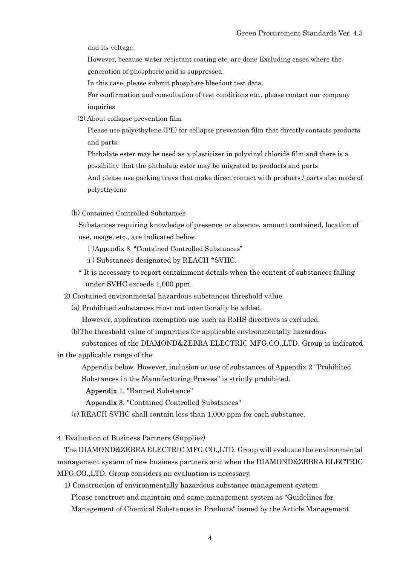and its voltage.

 However, because water resistant coating etc. are done Excluding cases where the generation of phosphoric acid is suppressed.

In this case, please submit phosphate bleedout test data.

 For confirmation and consultation of test conditions etc., please contact our company inquiries

(2) About collapse prevention film

 Please use polyethylene (PE) for collapse prevention film that directly contacts products and parts.

 Phthalate ester may be used as a plasticizer in polyvinyl chloride film and there is a possibility that the phthalate ester may be migrated to products and parts

 And please use packing trays that make direct contact with products / parts also made of polyethylene

(b) Contained Controlled Substances

 Substances requiring knowledge of presence or absence, amount contained, location of use, usage, etc., are indicated below.

ⅰ)Appendix 3. "Contained Controlled Substances"

ⅱ) Substances designated by REACH \*SVHC.

 \* It is necessary to report containment details when the content of substances falling under SVHC exceeds 1,000 ppm.

2) Contained environmental hazardous substances threshold value

(a) Prohibited substances must not intentionally be added.

However, application exemption use such as RoHS directives is excluded.

 (b)The threshold value of impurities for applicable environmentally hazardous substances of the DIAMOND&ZEBRA ELECTRIC MFG.CO.,LTD. Group is indicated

in the applicable range of the

 Appendix below. However, inclusion or use of substances of Appendix 2 "Prohibited Substances in the Manufacturing Process" is strictly prohibited.

Appendix 1. "Banned Substance"

Appendix 3. "Contained Controlled Substances"

(c) REACH SVHC shall contain less than 1,000 ppm for each substance.

4. Evaluation of Business Partners (Supplier)

The DIAMOND&ZEBRA ELECTRIC MFG.CO.,LTD. Group will evaluate the environmental management system of new business partners and when the DIAMOND&ZEBRA ELECTRIC MFG.CO.,LTD. Group considers an evaluation is necessary.

 1) Construction of environmentally hazardous substance management system Please construct and maintain and same management system as "Guidelines for Management of Chemical Substances in Products" issued by the Article Management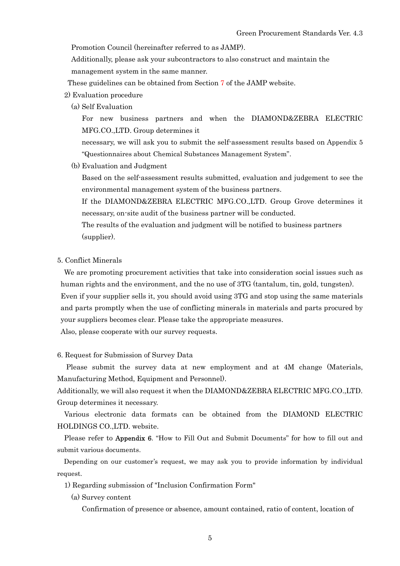Promotion Council (hereinafter referred to as JAMP).

 Additionally, please ask your subcontractors to also construct and maintain the management system in the same manner.

- These guidelines can be obtained from Section 7 of the JAMP website.
- 2) Evaluation procedure
	- (a) Self Evaluation

 For new business partners and when the DIAMOND&ZEBRA ELECTRIC MFG.CO.,LTD. Group determines it

 necessary, we will ask you to submit the self-assessment results based on Appendix 5 "Questionnaires about Chemical Substances Management System".

(b) Evaluation and Judgment

 Based on the self-assessment results submitted, evaluation and judgement to see the environmental management system of the business partners.

 If the DIAMOND&ZEBRA ELECTRIC MFG.CO.,LTD. Group Grove determines it necessary, on-site audit of the business partner will be conducted.

 The results of the evaluation and judgment will be notified to business partners (supplier).

5. Conflict Minerals

 We are promoting procurement activities that take into consideration social issues such as human rights and the environment, and the no use of 3TG (tantalum, tin, gold, tungsten). Even if your supplier sells it, you should avoid using 3TG and stop using the same materials and parts promptly when the use of conflicting minerals in materials and parts procured by your suppliers becomes clear. Please take the appropriate measures.

Also, please cooperate with our survey requests.

6. Request for Submission of Survey Data

Please submit the survey data at new employment and at 4M change (Materials, Manufacturing Method, Equipment and Personnel).

Additionally, we will also request it when the DIAMOND&ZEBRA ELECTRIC MFG.CO.,LTD. Group determines it necessary.

Various electronic data formats can be obtained from the DIAMOND ELECTRIC HOLDINGS CO.,LTD. website.

Please refer to **Appendix 6.** "How to Fill Out and Submit Documents" for how to fill out and submit various documents.

 Depending on our customer's request, we may ask you to provide information by individual request.

- 1) Regarding submission of "Inclusion Confirmation Form"
	- (a) Survey content

Confirmation of presence or absence, amount contained, ratio of content, location of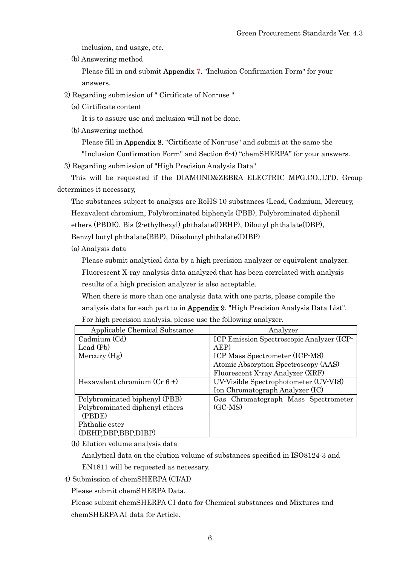inclusion, and usage, etc.

(b) Answering method

 Please fill in and submit Appendix 7. "Inclusion Confirmation Form" for your answers.

2) Regarding submission of " Cirtificate of Non-use "

(a) Cirtificate content

It is to assure use and inclusion will not be done.

(b) Answering method

Please fill in Appendix 8. "Cirtificate of Non-use" and submit at the same the

"Inclusion Confirmation Form" and Section 6-4) "chemSHERPA" for your answers.

3) Regarding submission of "High Precision Analysis Data"

 This will be requested if the DIAMOND&ZEBRA ELECTRIC MFG.CO.,LTD. Group determines it necessary,

 The substances subject to analysis are RoHS 10 substances (Lead, Cadmium, Mercury, Hexavalent chromium, Polybrominated biphenyls (PBB), Polybrominated diphenil ethers (PBDE), Bis (2-ethylhexyl) phthalate(DEHP), Dibutyl phthalate(DBP),

Benzyl butyl phthalate(BBP), Diisobutyl phthalate(DIBP)

(a) Analysis data

 Please submit analytical data by a high precision analyzer or equivalent analyzer. Fluorescent X-ray analysis data analyzed that has been correlated with analysis results of a high precision analyzer is also acceptable.

 When there is more than one analysis data with one parts, please compile the analysis data for each part to in Appendix 9. "High Precision Analysis Data List". For high precision analysis, please use the following analyzer.

| Applicable Chemical Substance  | Analyzer                                  |
|--------------------------------|-------------------------------------------|
| Cadmium (Cd)                   | ICP Emission Spectroscopic Analyzer (ICP- |
| Lead $(Pb)$                    | AEP)                                      |
| Mercury (Hg)                   | ICP Mass Spectrometer (ICP-MS)            |
|                                | Atomic Absorption Spectroscopy (AAS)      |
|                                | Fluorescent X-ray Analyzer (XRF)          |
| Hexavalent chromium $(Cr 6+)$  | UV-Visible Spectrophotometer (UV-VIS)     |
|                                | Ion Chromatograph Analyzer (IC)           |
| Polybrominated biphenyl (PBB)  | Gas Chromatograph Mass Spectrometer       |
| Polybrominated diphenyl ethers | $(GC\text{-}MS)$                          |
| (PBDE)                         |                                           |
| Phthalic ester                 |                                           |
| (DEHP,DBP,BBP,DIBP)            |                                           |

(b) Elution volume analysis data

Analytical data on the elution volume of substances specified in ISO8124-3 and

EN1811 will be requested as necessary.

4) Submission of chemSHERPA (CI/AI)

Please submit chemSHERPA Data.

Please submit chemSHERPA CI data for Chemical substances and Mixtures and

chemSHERPA AI data for Article.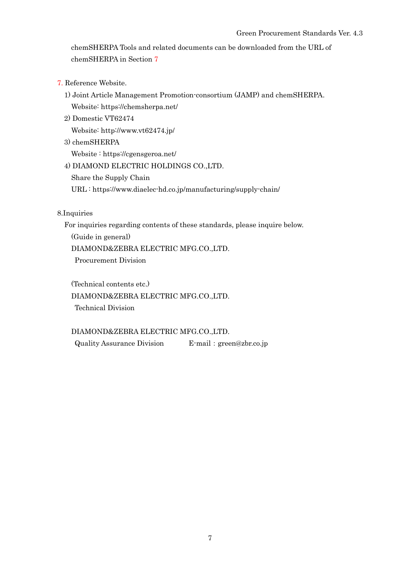chemSHERPA Tools and related documents can be downloaded from the URL of chemSHERPA in Section 7

- 7. Reference Website.
	- 1) Joint Article Management Promotion-consortium (JAMP) and chemSHERPA. Website: https://chemsherpa.net/
	- 2) Domestic VT62474

Website: http://www.vt62474.jp/

3) chemSHERPA

Website : https://cgensgeroa.net/

4) DIAMOND ELECTRIC HOLDINGS CO.,LTD.

Share the Supply Chain

URL : https://www.diaelec-hd.co.jp/manufacturing/supply-chain/

8.Inquiries

For inquiries regarding contents of these standards, please inquire below.

(Guide in general)

DIAMOND&ZEBRA ELECTRIC MFG.CO.,LTD.

Procurement Division

 (Technical contents etc.) DIAMOND&ZEBRA ELECTRIC MFG.CO.,LTD. Technical Division

## DIAMOND&ZEBRA ELECTRIC MFG.CO.,LTD.

Quality Assurance Division E-mail:green@zbr.co.jp